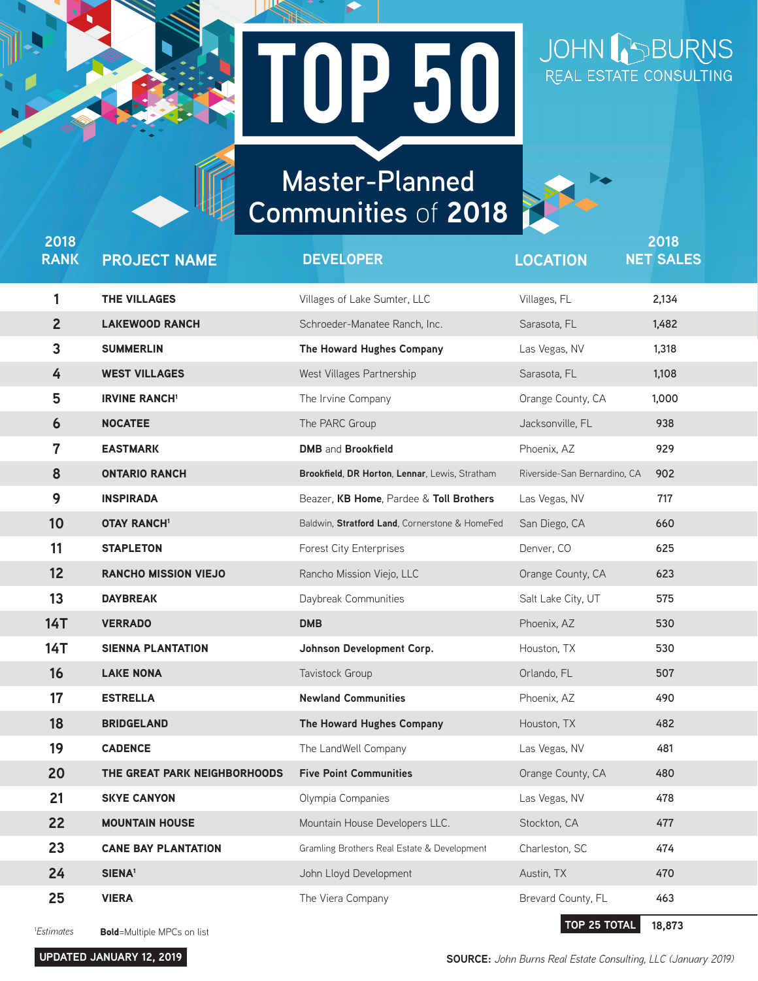## **ND 5 Master-Planned Communities** of **2018** Top 50 **Master-Planned**

**Communities** of **2018**

JOHN BURNS

| 2018<br><b>RANK</b>    | <b>PROJECT NAME</b>                | <b>DEVELOPER</b>                               | <b>LOCATION</b>              | 2018<br><b>NET SALES</b> |
|------------------------|------------------------------------|------------------------------------------------|------------------------------|--------------------------|
| 1                      | <b>THE VILLAGES</b>                | Villages of Lake Sumter, LLC                   | Villages, FL                 | 2,134                    |
| $\overline{2}$         | <b>LAKEWOOD RANCH</b>              | Schroeder-Manatee Ranch, Inc.                  | Sarasota, FL                 | 1,482                    |
| $\mathbf{3}$           | <b>SUMMERLIN</b>                   | The Howard Hughes Company                      | Las Vegas, NV                | 1,318                    |
| 4                      | <b>WEST VILLAGES</b>               | West Villages Partnership                      | Sarasota, FL                 | 1,108                    |
| 5                      | <b>IRVINE RANCH1</b>               | The Irvine Company                             | Orange County, CA            | 1,000                    |
| 6                      | <b>NOCATEE</b>                     | The PARC Group                                 | Jacksonville, FL             | 938                      |
| 7                      | <b>EASTMARK</b>                    | <b>DMB</b> and <b>Brookfield</b>               | Phoenix, AZ                  | 929                      |
| 8                      | <b>ONTARIO RANCH</b>               | Brookfield, DR Horton, Lennar, Lewis, Stratham | Riverside-San Bernardino, CA | 902                      |
| 9                      | <b>INSPIRADA</b>                   | Beazer, KB Home, Pardee & Toll Brothers        | Las Vegas, NV                | 717                      |
| 10                     | <b>OTAY RANCH1</b>                 | Baldwin, Stratford Land, Cornerstone & HomeFed | San Diego, CA                | 660                      |
| 11                     | <b>STAPLETON</b>                   | <b>Forest City Enterprises</b>                 | Denver, CO                   | 625                      |
| 12                     | <b>RANCHO MISSION VIEJO</b>        | Rancho Mission Viejo, LLC                      | Orange County, CA            | 623                      |
| 13                     | <b>DAYBREAK</b>                    | Daybreak Communities                           | Salt Lake City, UT           | 575                      |
| <b>14T</b>             | <b>VERRADO</b>                     | <b>DMB</b>                                     | Phoenix, AZ                  | 530                      |
| <b>14T</b>             | <b>SIENNA PLANTATION</b>           | Johnson Development Corp.                      | Houston, TX                  | 530                      |
| 16                     | <b>LAKE NONA</b>                   | Tavistock Group                                | Orlando, FL                  | 507                      |
| 17                     | <b>ESTRELLA</b>                    | <b>Newland Communities</b>                     | Phoenix, AZ                  | 490                      |
| 18                     | <b>BRIDGELAND</b>                  | The Howard Hughes Company                      | Houston, TX                  | 482                      |
| 19                     | <b>CADENCE</b>                     | The LandWell Company                           | Las Vegas, NV                | 481                      |
| 20                     | THE GREAT PARK NEIGHBORHOODS       | <b>Five Point Communities</b>                  | Orange County, CA            | 480                      |
| 21                     | <b>SKYE CANYON</b>                 | Olympia Companies                              | Las Vegas, NV                | 478                      |
| 22                     | <b>MOUNTAIN HOUSE</b>              | Mountain House Developers LLC.                 | Stockton, CA                 | 477                      |
| 23                     | <b>CANE BAY PLANTATION</b>         | Gramling Brothers Real Estate & Development    | Charleston, SC               | 474                      |
| 24                     | SIENA <sup>1</sup>                 | John Lloyd Development                         | Austin, TX                   | 470                      |
| 25                     | <b>VIERA</b>                       | The Viera Company                              | Brevard County, FL           | 463                      |
| <sup>1</sup> Estimates | <b>Bold</b> =Multiple MPCs on list |                                                | TOP 25 TOTAL                 | 18,873                   |

**UPDATED JANUARY 12, 2019**